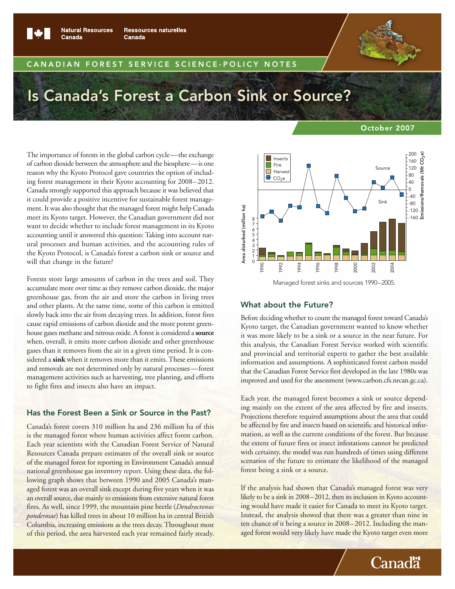

Canada

**Natural Resources Ressources naturelles** Canada

#### CANADIAN FOREST SERVICE SCIENCE-POLICY NOTES

# Is Canada's Forest a Carbon Sink or Source?

The importance of forests in the global carbon cycle—the exchange of carbon dioxide between the atmosphere and the biosphere—is one reason why the Kyoto Protocol gave countries the option of including forest management in their Kyoto accounting for 2008–2012. Canada strongly supported this approach because it was believed that it could provide a positive incentive for sustainable forest management. It was also thought that the managed forest might help Canada meet its Kyoto target. However, the Canadian government did not want to decide whether to include forest management in its Kyoto accounting until it answered this question: Taking into account natural processes and human activities, and the accounting rules of the Kyoto Protocol, is Canada's forest a carbon sink or source and will that change in the future?

Forests store large amounts of carbon in the trees and soil. They accumulate more over time as they remove carbon dioxide, the major greenhouse gas, from the air and store the carbon in living trees and other plants. At the same time, some of this carbon is emitted slowly back into the air from decaying trees. In addition, forest fires cause rapid emissions of carbon dioxide and the more potent greenhouse gases methane and nitrous oxide. A forest is considered a **source** when, overall, it emits more carbon dioxide and other greenhouse gases than it removes from the air in a given time period. It is considered a **sink** when it removes more than it emits. These emissions and removals are not determined only by natural processes—forest management activities such as harvesting, tree planting, and efforts to fight fires and insects also have an impact.

## Has the Forest Been a Sink or Source in the Past?

Canada's forest covers 310 million ha and 236 million ha of this is the managed forest where human activities affect forest carbon. Each year scientists with the Canadian Forest Service of Natural Resources Canada prepare estimates of the overall sink or source of the managed forest for reporting in Environment Canada's annual national greenhouse gas inventory report. Using these data, the following graph shows that between 1990 and 2005 Canada's managed forest was an overall sink except during five years when it was an overall source, due mainly to emissions from extensive natural forest fires. As well, since 1999, the mountain pine beetle (*Dendroctonus ponderosae*) has killed trees in about 10 million ha in central British Columbia, increasing emissions as the trees decay. Throughout most of this period, the area harvested each year remained fairly steady.

#### October 2007



Managed forest sinks and sources 1990–2005.

#### What about the Future?

Before deciding whether to count the managed forest toward Canada's Kyoto target, the Canadian government wanted to know whether it was more likely to be a sink or a source in the near future. For this analysis, the Canadian Forest Service worked with scientific and provincial and territorial experts to gather the best available information and assumptions. A sophisticated forest carbon model that the Canadian Forest Service first developed in the late 1980s was improved and used for the assessment (www.carbon.cfs.nrcan.gc.ca).

Each year, the managed forest becomes a sink or source depending mainly on the extent of the area affected by fire and insects. Projections therefore required assumptions about the area that could be affected by fire and insects based on scientific and historical infor mation, as well as the current conditions of the forest. But because the extent of future fires or insect infestations cannot be predicted with certainty, the model was run hundreds of times using different scenarios of the future to estimate the likelihood of the managed forest being a sink or a source.

If the analysis had shown that Canada's managed forest was very likely to be a sink in 2008–2012, then its inclusion in Kyoto accounting would have made it easier for Canada to meet its Kyoto target. Instead, the analysis showed that there was a greater than nine in ten chance of it being a source in 2008–2012. Including the managed forest would very likely have made the Kyoto target even more